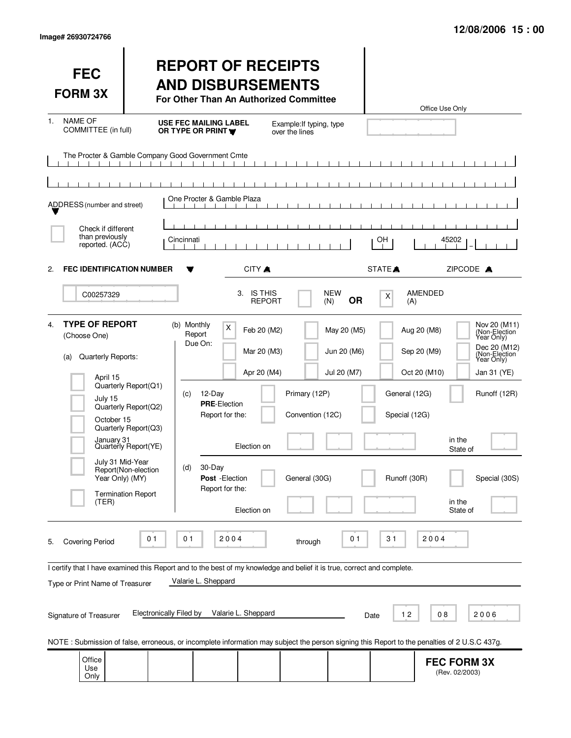| <b>FEC</b><br><b>FORM 3X</b>                                                                                                                                                                                                                                                                                                                                                                         |                                                                                                                                                  | <b>REPORT OF RECEIPTS</b><br><b>AND DISBURSEMENTS</b><br>For Other Than An Authorized Committee                                                            |                                                                         |                                                    |                                           |                                                | Office Use Only                                                                        |                                                                                                                                |
|------------------------------------------------------------------------------------------------------------------------------------------------------------------------------------------------------------------------------------------------------------------------------------------------------------------------------------------------------------------------------------------------------|--------------------------------------------------------------------------------------------------------------------------------------------------|------------------------------------------------------------------------------------------------------------------------------------------------------------|-------------------------------------------------------------------------|----------------------------------------------------|-------------------------------------------|------------------------------------------------|----------------------------------------------------------------------------------------|--------------------------------------------------------------------------------------------------------------------------------|
| <b>NAME OF</b><br>1.<br>COMMITTEE (in full)                                                                                                                                                                                                                                                                                                                                                          |                                                                                                                                                  | <b>USE FEC MAILING LABEL</b><br>OR TYPE OR PRINT Y                                                                                                         |                                                                         | Example: If typing, type<br>over the lines         |                                           |                                                |                                                                                        |                                                                                                                                |
| The Procter & Gamble Company Good Government Cmte                                                                                                                                                                                                                                                                                                                                                    | $\mathbf{1}$ $\mathbf{1}$ $\mathbf{1}$                                                                                                           |                                                                                                                                                            |                                                                         |                                                    |                                           |                                                |                                                                                        |                                                                                                                                |
| ADDRESS (number and street)                                                                                                                                                                                                                                                                                                                                                                          |                                                                                                                                                  | One Procter & Gamble Plaza                                                                                                                                 |                                                                         |                                                    |                                           |                                                |                                                                                        |                                                                                                                                |
| Check if different<br>than previously<br>reported. (ACC)                                                                                                                                                                                                                                                                                                                                             |                                                                                                                                                  | Cincinnati                                                                                                                                                 |                                                                         |                                                    |                                           | OH                                             | 45202                                                                                  |                                                                                                                                |
| <b>FEC IDENTIFICATION NUMBER</b><br>2.                                                                                                                                                                                                                                                                                                                                                               |                                                                                                                                                  |                                                                                                                                                            | CITY A                                                                  |                                                    |                                           | STATE <sup>A</sup>                             | ZIPCODE A                                                                              |                                                                                                                                |
| C00257329                                                                                                                                                                                                                                                                                                                                                                                            |                                                                                                                                                  |                                                                                                                                                            | 3. IS THIS<br><b>REPORT</b>                                             |                                                    | <b>NEW</b><br><b>OR</b><br>(N)            | X<br>(A)                                       | AMENDED                                                                                |                                                                                                                                |
| <b>TYPE OF REPORT</b><br>4.<br>(Choose One)<br>Quarterly Reports:<br>(a)<br>April 15<br>July 15<br>October 15<br>January 31<br>July 31 Mid-Year<br>Year Only) (MY)<br>(TER)                                                                                                                                                                                                                          | Quarterly Report(Q1)<br>Quarterly Report(Q2)<br>Quarterly Report(Q3)<br>Quarterly Report(YE)<br>Report(Non-election<br><b>Termination Report</b> | (b) Monthly<br>X<br>Report<br>Due On:<br>$12$ -Day<br>(c)<br><b>PRE-Election</b><br>Report for the:<br>30-Day<br>(d)<br>Post - Election<br>Report for the: | Feb 20 (M2)<br>Mar 20 (M3)<br>Apr 20 (M4)<br>Election on<br>Election on | Primary (12P)<br>Convention (12C)<br>General (30G) | May 20 (M5)<br>Jun 20 (M6)<br>Jul 20 (M7) | General (12G)<br>Special (12G)<br>Runoff (30R) | Aug 20 (M8)<br>Sep 20 (M9)<br>Oct 20 (M10)<br>in the<br>State of<br>in the<br>State of | Nov 20 (M11)<br>(Non-Election)<br>Dec 20 (M12)<br>(Non-Election)<br>Year Only)<br>Jan 31 (YE)<br>Runoff (12R)<br>Special (30S) |
| 0 <sub>1</sub><br>2004<br>2004<br>01<br>0 <sub>1</sub><br>31<br><b>Covering Period</b><br>through<br>5.<br>I certify that I have examined this Report and to the best of my knowledge and belief it is true, correct and complete.<br>Valarie L. Sheppard<br>Type or Print Name of Treasurer<br>Electronically Filed by<br>Valarie L. Sheppard<br>12<br>08<br>2006<br>Signature of Treasurer<br>Date |                                                                                                                                                  |                                                                                                                                                            |                                                                         |                                                    |                                           |                                                |                                                                                        |                                                                                                                                |
| NOTE: Submission of false, erroneous, or incomplete information may subject the person signing this Report to the penalties of 2 U.S.C 437g.                                                                                                                                                                                                                                                         |                                                                                                                                                  |                                                                                                                                                            |                                                                         |                                                    |                                           |                                                |                                                                                        |                                                                                                                                |
| Office<br>Use<br>Only                                                                                                                                                                                                                                                                                                                                                                                |                                                                                                                                                  |                                                                                                                                                            |                                                                         |                                                    |                                           |                                                | <b>FEC FORM 3X</b><br>(Rev. 02/2003)                                                   |                                                                                                                                |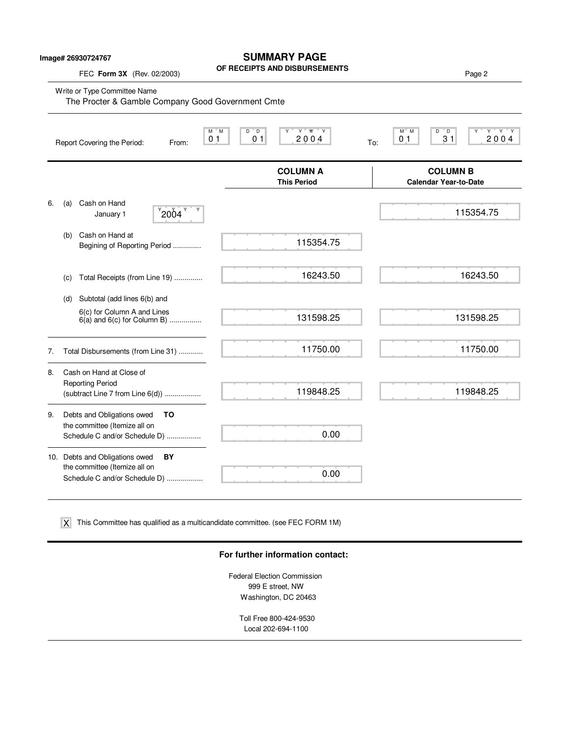|  | Image# 26930724767 |
|--|--------------------|
|--|--------------------|

## **SUMMARY PAGE**

**OF RECEIPTS AND DISBURSEMENTS**

FEC **Form 3X** (Rev. 02/2003) **Page 2 Page 2** 

Write or Type Committee Name<br>The Procter & Gamble C

|    |     | The Procter & Gamble Company Good Government Cmte                                                      |                                                          |                                       |                                                                               |
|----|-----|--------------------------------------------------------------------------------------------------------|----------------------------------------------------------|---------------------------------------|-------------------------------------------------------------------------------|
|    |     | Report Covering the Period:<br>From:                                                                   | $D^{\prime}D$<br>M M<br>0 <sub>1</sub><br>0 <sub>1</sub> | Y W Y<br>Y<br>2004                    | $M^*$ M<br>D<br>$^{\circ}$ D<br>Y Y Y<br>31<br>200,4<br>0 <sub>1</sub><br>To: |
|    |     |                                                                                                        |                                                          | <b>COLUMN A</b><br><b>This Period</b> | <b>COLUMN B</b><br><b>Calendar Year-to-Date</b>                               |
| 6. | (a) | Cash on Hand<br>$^{9}$ 2004 $^{9}$<br>January 1                                                        |                                                          |                                       | 115354.75                                                                     |
|    | (b) | Cash on Hand at<br>Begining of Reporting Period                                                        |                                                          | 115354.75                             |                                                                               |
|    | (c) | Total Receipts (from Line 19)                                                                          |                                                          | 16243.50                              | 16243.50                                                                      |
|    | (d) | Subtotal (add lines 6(b) and                                                                           |                                                          |                                       |                                                                               |
|    |     | 6(c) for Column A and Lines<br>$6(a)$ and $6(c)$ for Column B)                                         |                                                          | 131598.25                             | 131598.25                                                                     |
| 7. |     | Total Disbursements (from Line 31)                                                                     |                                                          | 11750.00                              | 11750.00                                                                      |
| 8. |     | Cash on Hand at Close of<br><b>Reporting Period</b><br>(subtract Line 7 from Line 6(d))                |                                                          | 119848.25                             | 119848.25                                                                     |
| 9. |     | Debts and Obligations owed<br>TO<br>the committee (Itemize all on<br>Schedule C and/or Schedule D)     |                                                          | 0.00                                  |                                                                               |
|    |     | 10. Debts and Obligations owed<br>BY<br>the committee (Itemize all on<br>Schedule C and/or Schedule D) |                                                          | 0.00                                  |                                                                               |

This Committee has qualified as a multicandidate committee. (see FEC FORM 1M) X

### **For further information contact:**

Federal Election Commission 999 E street, NW Washington, DC 20463

> Toll Free 800-424-9530 Local 202-694-1100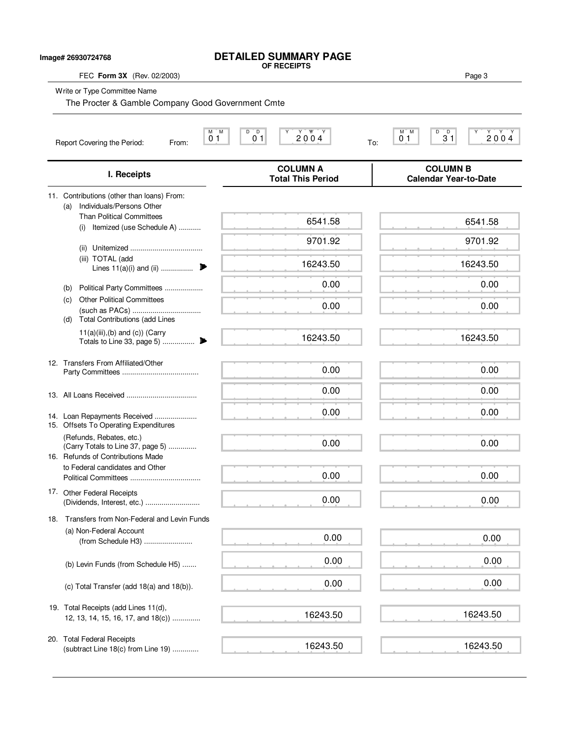#### **DETAILED SUMMARY PAGE OF RECEIPTS**

**Image# 26930724768**

FEC **Form 3X** (Rev. 02/2003) Page 3 Write or Type Committee Name M M D D Y Y YY Y M M D D Y Y Y Y Report Covering the Period: From: To: **COLUMN A COLUMN B I. Receipts Total This Period Calendar Year-to-Date** 11. Contributions (other than loans) From: (a) Individuals/Persons Other Than Political Committees (i) Itemized (use Schedule A) ........... (ii) Unitemized .................................... (iii) TOTAL (add Lines 11(a)(i) and (ii) ................ . (b) Political Party Committees ................... (c) Other Political Committees (such as PACs) .................................. (d) Total Contributions (add Lines  $11(a)(iii),(b)$  and  $(c))$  (Carry Totals to Line 33, page 5) ................ . 12. Transfers From Affiliated/Other Party Committees ...................................... 13. All Loans Received ................................... 14. Loan Repayments Received ..................... 15. Offsets To Operating Expenditures (Refunds, Rebates, etc.) (Carry Totals to Line 37, page 5) .............. 16. Refunds of Contributions Made to Federal candidates and Other Political Committees ................................... 17. Other Federal Receipts (Dividends, Interest, etc.) ........................... 18. Transfers from Non-Federal and Levin Funds (a) Non-Federal Account (from Schedule H3) ........................ (b) Levin Funds (from Schedule H5) ....... (c) Total Transfer (add 18(a) and 18(b)). 19. Total Receipts (add Lines 11(d), 12, 13, 14, 15, 16, 17, and 18(c)) .............. 20. Total Federal Receipts (subtract Line 18(c) from Line 19) .............  $0 1$  0 1 2 0 0 4  $_{\text{To}}$  0 1 3 1 2 0 0 4 The Procter & Gamble Company Good Government Cmte 6541.58 9701.92 16243.50 0.00 0.00 16243.50 0.00 0.00 0.00 0.00 0.00 0.00 0.00 16243.50 16243.50 6541.58 9701.92 16243.50 0.00 0.00 16243.50 0.00 0.00 0.00 0.00 0.00 0.00 0.00 16243.50 16243.50 0.00 0.00 0.00 0.00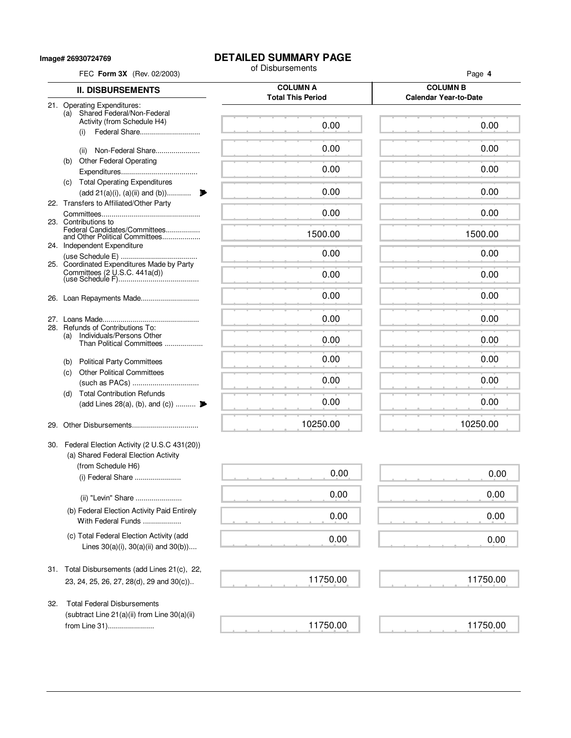**Image# 26930724769**

# **DETAILED SUMMARY PAGE**<br>of Disbursements

| FEC Form 3X (Rev. 02/2003)                                                                | of Disbursements                            | Page 4                                          |  |  |
|-------------------------------------------------------------------------------------------|---------------------------------------------|-------------------------------------------------|--|--|
| <b>II. DISBURSEMENTS</b>                                                                  | <b>COLUMN A</b><br><b>Total This Period</b> | <b>COLUMN B</b><br><b>Calendar Year-to-Date</b> |  |  |
| 21. Operating Expenditures:<br>(a) Shared Federal/Non-Federal                             |                                             |                                                 |  |  |
| Activity (from Schedule H4)<br>Federal Share<br>(i)                                       | 0.00                                        | 0.00                                            |  |  |
| Non-Federal Share<br>(ii)                                                                 | 0.00                                        | 0.00                                            |  |  |
| <b>Other Federal Operating</b><br>(b)                                                     | 0.00                                        | 0.00                                            |  |  |
| (c) Total Operating Expenditures                                                          |                                             |                                                 |  |  |
| (add 21(a)(i), (a)(ii) and (b))<br>22. Transfers to Affiliated/Other Party                | 0.00                                        | 0.00                                            |  |  |
| 23. Contributions to                                                                      | 0.00                                        | 0.00                                            |  |  |
| Federal Candidates/Committees<br>and Other Political Committees                           | 1500.00                                     | 1500.00                                         |  |  |
| 24. Independent Expenditure                                                               | 0.00                                        | 0.00                                            |  |  |
| 25. Coordinated Expenditures Made by Party                                                | 0.00                                        | 0.00                                            |  |  |
| 26. Loan Repayments Made                                                                  | 0.00                                        | 0.00                                            |  |  |
|                                                                                           | 0.00                                        | 0.00                                            |  |  |
| Refunds of Contributions To:<br>28.<br>Individuals/Persons Other<br>(a)                   |                                             |                                                 |  |  |
| Than Political Committees                                                                 | 0.00                                        | 0.00                                            |  |  |
| <b>Political Party Committees</b><br>(b)<br><b>Other Political Committees</b>             | 0.00                                        | 0.00                                            |  |  |
| (C)                                                                                       | 0.00                                        | 0.00                                            |  |  |
| <b>Total Contribution Refunds</b><br>(d)<br>(add Lines 28(a), (b), and (c))               | 0.00                                        | 0.00                                            |  |  |
|                                                                                           |                                             |                                                 |  |  |
| 29.                                                                                       | 10250.00                                    | 10250.00                                        |  |  |
| 30. Federal Election Activity (2 U.S.C 431(20))<br>(a) Shared Federal Election Activity   |                                             |                                                 |  |  |
| (from Schedule H6)                                                                        | 0.00                                        | 0.00                                            |  |  |
| (i) Federal Share                                                                         | 0.00                                        | 0.00                                            |  |  |
| (ii) "Levin" Share<br>(b) Federal Election Activity Paid Entirely                         |                                             |                                                 |  |  |
| With Federal Funds                                                                        | 0.00                                        | 0.00                                            |  |  |
| (c) Total Federal Election Activity (add<br>Lines $30(a)(i)$ , $30(a)(ii)$ and $30(b)$ )  | 0.00                                        | 0.00                                            |  |  |
| 31. Total Disbursements (add Lines 21(c), 22,                                             | 11750.00                                    | 11750.00                                        |  |  |
| 23, 24, 25, 26, 27, 28(d), 29 and 30(c))                                                  |                                             |                                                 |  |  |
| <b>Total Federal Disbursements</b><br>32.<br>(subtract Line 21(a)(ii) from Line 30(a)(ii) |                                             |                                                 |  |  |
| from Line 31)                                                                             | 11750.00                                    | 11750.00                                        |  |  |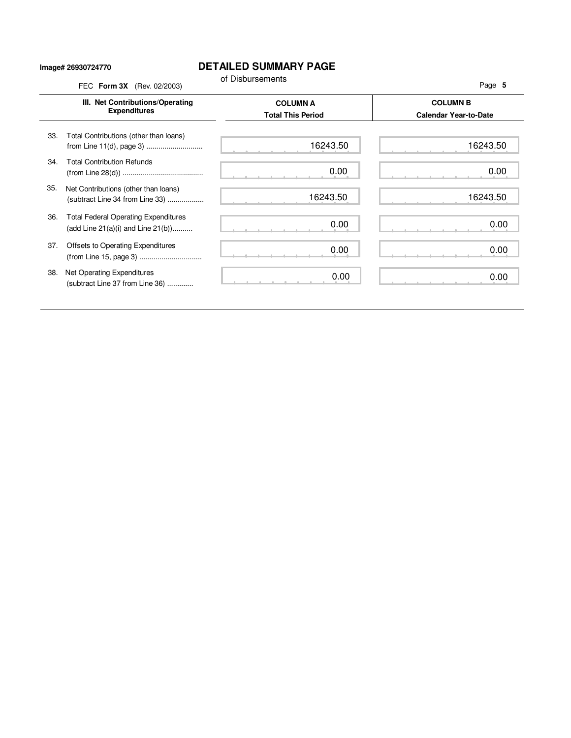### **Image# 26930724770**

## **DETAILED SUMMARY PAGE**

|     | III. Net Contributions/Operating                                                       | <b>COLUMN A</b>          | <b>COLUMN B</b>              |  |
|-----|----------------------------------------------------------------------------------------|--------------------------|------------------------------|--|
|     | <b>Expenditures</b>                                                                    | <b>Total This Period</b> | <b>Calendar Year-to-Date</b> |  |
| 33. | Total Contributions (other than loans)                                                 | 16243.50                 | 16243.50                     |  |
| 34. | <b>Total Contribution Refunds</b>                                                      | 0.00                     | 0.00                         |  |
| 35. | Net Contributions (other than loans)<br>(subtract Line 34 from Line 33)                | 16243.50                 | 16243.50                     |  |
| 36. | <b>Total Federal Operating Expenditures</b><br>(add Line $21(a)(i)$ and Line $21(b)$ ) | 0.00                     | 0.00                         |  |
| 37. | Offsets to Operating Expenditures                                                      | 0.00                     | 0.00                         |  |
| 38. | Net Operating Expenditures<br>(subtract Line 37 from Line 36)                          | 0.00                     | 0.00                         |  |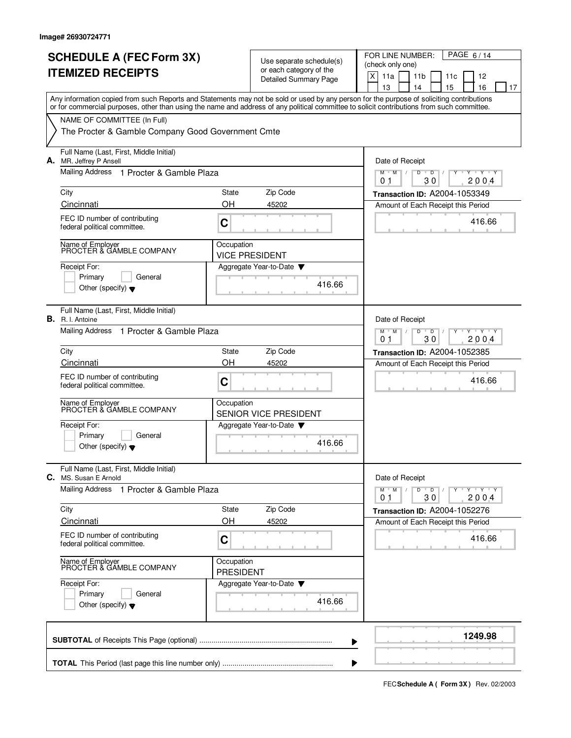|    | <b>SCHEDULE A (FEC Form 3X)</b>                                                                                                                                                                                                                                                         |                                |                                                     |                               | FOR LINE NUMBER:                   |    |                 |                      |                 |        | PAGE 6/14               |    |
|----|-----------------------------------------------------------------------------------------------------------------------------------------------------------------------------------------------------------------------------------------------------------------------------------------|--------------------------------|-----------------------------------------------------|-------------------------------|------------------------------------|----|-----------------|----------------------|-----------------|--------|-------------------------|----|
|    | <b>ITEMIZED RECEIPTS</b>                                                                                                                                                                                                                                                                |                                | Use separate schedule(s)<br>or each category of the | (check only one)              |                                    |    |                 |                      |                 |        |                         |    |
|    |                                                                                                                                                                                                                                                                                         |                                | <b>Detailed Summary Page</b>                        |                               | X<br>11a                           |    | 11 <sub>b</sub> |                      | 11c             |        | 12                      |    |
|    | Any information copied from such Reports and Statements may not be sold or used by any person for the purpose of soliciting contributions<br>or for commercial purposes, other than using the name and address of any political committee to solicit contributions from such committee. |                                |                                                     |                               | 13                                 |    | 14              |                      | 15              |        | 16                      | 17 |
|    | NAME OF COMMITTEE (In Full)                                                                                                                                                                                                                                                             |                                |                                                     |                               |                                    |    |                 |                      |                 |        |                         |    |
|    | The Procter & Gamble Company Good Government Cmte                                                                                                                                                                                                                                       |                                |                                                     |                               |                                    |    |                 |                      |                 |        |                         |    |
| А. | Full Name (Last, First, Middle Initial)<br>MR. Jeffrey P Ansell                                                                                                                                                                                                                         |                                |                                                     |                               | Date of Receipt                    |    |                 |                      |                 |        |                         |    |
|    | Mailing Address 1 Procter & Gamble Plaza                                                                                                                                                                                                                                                |                                | $M$ $M$ /<br>0 <sub>1</sub>                         |                               | $D$ $D$                            | 30 |                 |                      | Y Y Y Y<br>2004 |        |                         |    |
|    | City                                                                                                                                                                                                                                                                                    | <b>State</b>                   | Zip Code                                            |                               | Transaction ID: A2004-1053349      |    |                 |                      |                 |        |                         |    |
|    | Cincinnati                                                                                                                                                                                                                                                                              | OH                             | 45202                                               |                               | Amount of Each Receipt this Period |    |                 |                      |                 |        |                         |    |
|    | FEC ID number of contributing<br>federal political committee.                                                                                                                                                                                                                           | C                              |                                                     |                               |                                    |    |                 |                      |                 |        | 416.66                  |    |
|    | Name of Employer<br>PROCTER & GAMBLE COMPANY                                                                                                                                                                                                                                            | Occupation                     | VICE PRESIDENT                                      |                               |                                    |    |                 |                      |                 |        |                         |    |
|    | Receipt For:                                                                                                                                                                                                                                                                            |                                | Aggregate Year-to-Date                              |                               |                                    |    |                 |                      |                 |        |                         |    |
|    | Primary<br>General<br>Other (specify) $\bullet$                                                                                                                                                                                                                                         |                                |                                                     |                               |                                    |    |                 |                      |                 |        |                         |    |
|    | Full Name (Last, First, Middle Initial)<br><b>B.</b> R. I. Antoine                                                                                                                                                                                                                      |                                |                                                     |                               | Date of Receipt                    |    |                 |                      |                 |        |                         |    |
|    | Mailing Address 1 Procter & Gamble Plaza                                                                                                                                                                                                                                                |                                |                                                     |                               |                                    |    | D               | D<br>30              |                 |        | $Y - Y - Y - Y$<br>2004 |    |
|    | City                                                                                                                                                                                                                                                                                    | State                          | Zip Code                                            |                               | Transaction ID: A2004-1052385      |    |                 |                      |                 |        |                         |    |
|    | Cincinnati                                                                                                                                                                                                                                                                              | OH                             | 45202                                               |                               | Amount of Each Receipt this Period |    |                 |                      |                 |        |                         |    |
|    | FEC ID number of contributing<br>federal political committee.                                                                                                                                                                                                                           | C                              | 416.66                                              |                               |                                    |    |                 |                      |                 |        |                         |    |
|    | Name of Employer<br>PROCTER & GAMBLE COMPANY                                                                                                                                                                                                                                            | Occupation                     | <b>SENIOR VICE PRESIDENT</b>                        |                               |                                    |    |                 |                      |                 |        |                         |    |
|    | Receipt For:                                                                                                                                                                                                                                                                            |                                | Aggregate Year-to-Date                              |                               |                                    |    |                 |                      |                 |        |                         |    |
|    | Primary<br>General<br>Other (specify) $\blacktriangledown$                                                                                                                                                                                                                              |                                | 416.66                                              |                               |                                    |    |                 |                      |                 |        |                         |    |
|    | Full Name (Last, First, Middle Initial)<br><b>C.</b> MS. Susan E Arnold                                                                                                                                                                                                                 |                                |                                                     |                               | Date of Receipt                    |    |                 |                      |                 |        |                         |    |
|    | Mailing Address 1 Procter & Gamble Plaza                                                                                                                                                                                                                                                |                                |                                                     |                               | $M$ $M$<br>0.1                     |    | D               | $\overline{D}$<br>30 |                 |        | $Y + Y + Y$<br>2004     |    |
|    | City                                                                                                                                                                                                                                                                                    | State                          | Zip Code                                            | Transaction ID: A2004-1052276 |                                    |    |                 |                      |                 |        |                         |    |
|    | Cincinnati                                                                                                                                                                                                                                                                              | OН                             | 45202                                               |                               | Amount of Each Receipt this Period |    |                 |                      |                 |        |                         |    |
|    | FEC ID number of contributing<br>federal political committee.                                                                                                                                                                                                                           |                                |                                                     |                               |                                    |    |                 |                      |                 | 416.66 |                         |    |
|    | Name of Employer<br>PROCTER & GAMBLE COMPANY                                                                                                                                                                                                                                            | Occupation<br><b>PRESIDENT</b> |                                                     |                               |                                    |    |                 |                      |                 |        |                         |    |
|    | Receipt For:                                                                                                                                                                                                                                                                            | Aggregate Year-to-Date         |                                                     |                               |                                    |    |                 |                      |                 |        |                         |    |
|    | Primary<br>General<br>Other (specify) $\blacktriangledown$                                                                                                                                                                                                                              |                                | 416.66                                              |                               |                                    |    |                 |                      |                 |        |                         |    |
|    |                                                                                                                                                                                                                                                                                         |                                |                                                     |                               |                                    |    |                 |                      |                 |        | 1249.98                 |    |
|    |                                                                                                                                                                                                                                                                                         |                                |                                                     |                               |                                    |    |                 |                      |                 |        |                         |    |

**FECSchedule A ( Form 3X)** Rev. 02/2003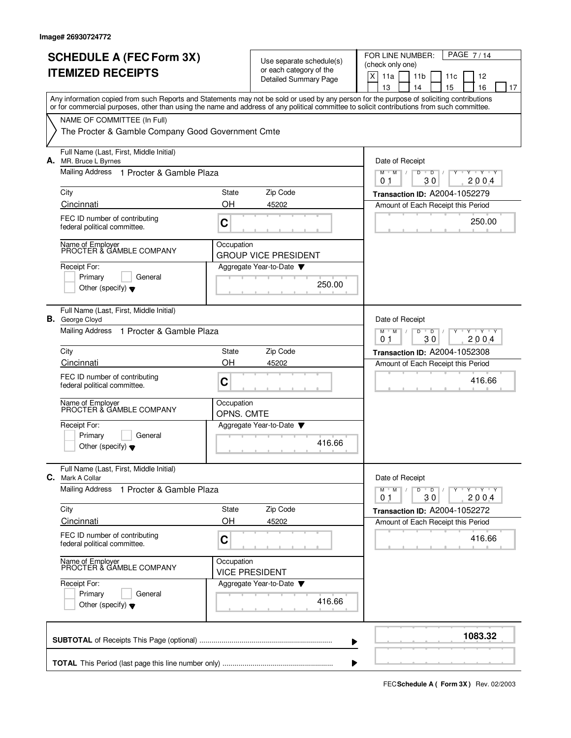| <b>SCHEDULE A (FEC Form 3X)</b><br><b>ITEMIZED RECEIPTS</b>                                                                                                                                                                                                                             |                                                                                            | Use separate schedule(s)<br>or each category of the<br><b>Detailed Summary Page</b> | PAGE 7/14<br>FOR LINE NUMBER:<br>(check only one)<br>X<br>11a<br>11 <sub>b</sub><br>11c<br>12<br>13<br>14<br>15<br>16<br>17 |
|-----------------------------------------------------------------------------------------------------------------------------------------------------------------------------------------------------------------------------------------------------------------------------------------|--------------------------------------------------------------------------------------------|-------------------------------------------------------------------------------------|-----------------------------------------------------------------------------------------------------------------------------|
| Any information copied from such Reports and Statements may not be sold or used by any person for the purpose of soliciting contributions<br>or for commercial purposes, other than using the name and address of any political committee to solicit contributions from such committee. |                                                                                            |                                                                                     |                                                                                                                             |
| NAME OF COMMITTEE (In Full)<br>The Procter & Gamble Company Good Government Cmte                                                                                                                                                                                                        |                                                                                            |                                                                                     |                                                                                                                             |
| Full Name (Last, First, Middle Initial)<br>A. MR. Bruce L Byrnes                                                                                                                                                                                                                        |                                                                                            |                                                                                     | Date of Receipt                                                                                                             |
| Mailing Address 1 Procter & Gamble Plaza                                                                                                                                                                                                                                                |                                                                                            |                                                                                     | D<br>$T$ $\gamma$ $T$ $\gamma$<br>M<br>M<br>D<br>2004<br>01<br>30                                                           |
| City<br>Cincinnati                                                                                                                                                                                                                                                                      | State<br>OH                                                                                | Zip Code<br>45202                                                                   | Transaction ID: A2004-1052279                                                                                               |
| FEC ID number of contributing<br>federal political committee.                                                                                                                                                                                                                           | C                                                                                          |                                                                                     | Amount of Each Receipt this Period<br>250.00                                                                                |
| Name of Employer<br>PROCTER & GAMBLE COMPANY                                                                                                                                                                                                                                            | Occupation                                                                                 | <b>GROUP VICE PRESIDENT</b>                                                         |                                                                                                                             |
| Receipt For:<br>Primary<br>General<br>Other (specify) $\blacktriangledown$                                                                                                                                                                                                              |                                                                                            | Aggregate Year-to-Date $\blacktriangledown$<br>250.00                               |                                                                                                                             |
| Full Name (Last, First, Middle Initial)<br><b>B.</b> George Cloyd                                                                                                                                                                                                                       |                                                                                            |                                                                                     | Date of Receipt                                                                                                             |
| <b>Mailing Address</b><br>1 Procter & Gamble Plaza                                                                                                                                                                                                                                      | $Y \vdash Y \vdash Y$<br>$M$ <sup><math>+</math></sup><br>M<br>D<br>D<br>30<br>2004<br>0.1 |                                                                                     |                                                                                                                             |
| City                                                                                                                                                                                                                                                                                    | State                                                                                      | Zip Code                                                                            | <b>Transaction ID: A2004-1052308</b>                                                                                        |
| Cincinnati                                                                                                                                                                                                                                                                              | OН                                                                                         | 45202                                                                               | Amount of Each Receipt this Period                                                                                          |
| FEC ID number of contributing<br>federal political committee.                                                                                                                                                                                                                           | C                                                                                          |                                                                                     | 416.66                                                                                                                      |
| Name of Employer<br>PROCTER & GAMBLE COMPANY                                                                                                                                                                                                                                            | Occupation<br>OPNS. CMTE                                                                   |                                                                                     |                                                                                                                             |
| Receipt For:<br>General                                                                                                                                                                                                                                                                 |                                                                                            | Aggregate Year-to-Date                                                              |                                                                                                                             |
| Primary<br>Other (specify) $\blacktriangledown$                                                                                                                                                                                                                                         |                                                                                            | 416.66                                                                              |                                                                                                                             |
| Full Name (Last, First, Middle Initial)<br><b>C.</b> Mark A Collar                                                                                                                                                                                                                      |                                                                                            |                                                                                     | Date of Receipt                                                                                                             |
| <b>Mailing Address</b><br>1 Procter & Gamble Plaza                                                                                                                                                                                                                                      |                                                                                            |                                                                                     | <b>TEXTEN</b><br>$M$ $M$<br>D<br>$\overline{D}$<br>Y<br>30<br>2004<br>01                                                    |
| City                                                                                                                                                                                                                                                                                    | State                                                                                      | Zip Code                                                                            | Transaction ID: A2004-1052272                                                                                               |
| Cincinnati                                                                                                                                                                                                                                                                              | OH                                                                                         | 45202                                                                               | Amount of Each Receipt this Period                                                                                          |
| FEC ID number of contributing<br>federal political committee.                                                                                                                                                                                                                           | C                                                                                          |                                                                                     | 416.66                                                                                                                      |
| Name of Employer<br>PROCTER & GAMBLE COMPANY                                                                                                                                                                                                                                            | Occupation                                                                                 | <b>VICE PRESIDENT</b>                                                               |                                                                                                                             |
| Receipt For:<br>Primary<br>General<br>Other (specify) $\blacktriangledown$                                                                                                                                                                                                              |                                                                                            | Aggregate Year-to-Date<br>416.66                                                    |                                                                                                                             |
|                                                                                                                                                                                                                                                                                         |                                                                                            |                                                                                     | 1083.32                                                                                                                     |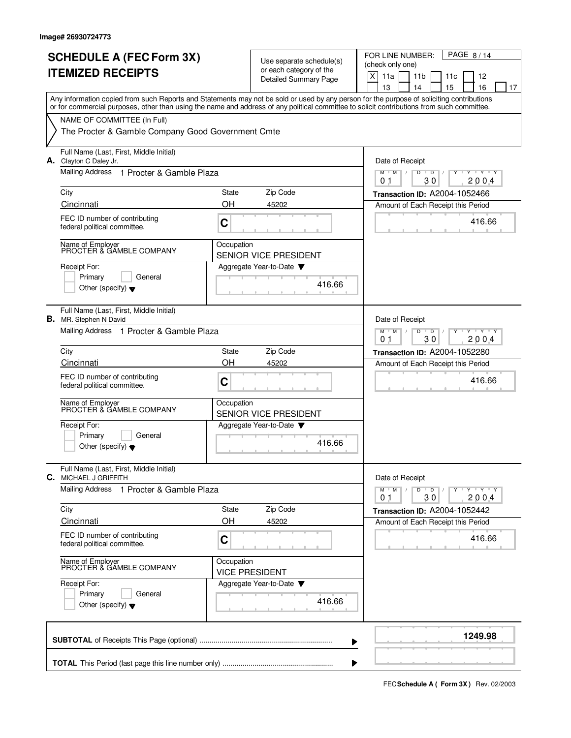|    | <b>SCHEDULE A (FEC Form 3X)</b><br><b>ITEMIZED RECEIPTS</b>                                                                                                                                                                                                                             |                                                                                                  | Use separate schedule(s)<br>or each category of the<br><b>Detailed Summary Page</b> | FOR LINE NUMBER:<br>PAGE 8/14<br>(check only one)<br>X<br>11a<br>11 <sub>b</sub><br>12<br>11c<br>13<br>14<br>15<br>16<br>17 |  |  |  |
|----|-----------------------------------------------------------------------------------------------------------------------------------------------------------------------------------------------------------------------------------------------------------------------------------------|--------------------------------------------------------------------------------------------------|-------------------------------------------------------------------------------------|-----------------------------------------------------------------------------------------------------------------------------|--|--|--|
|    | Any information copied from such Reports and Statements may not be sold or used by any person for the purpose of soliciting contributions<br>or for commercial purposes, other than using the name and address of any political committee to solicit contributions from such committee. |                                                                                                  |                                                                                     |                                                                                                                             |  |  |  |
|    | NAME OF COMMITTEE (In Full)<br>The Procter & Gamble Company Good Government Cmte                                                                                                                                                                                                        |                                                                                                  |                                                                                     |                                                                                                                             |  |  |  |
|    | Full Name (Last, First, Middle Initial)<br><b>A.</b> Clayton C Daley Jr.                                                                                                                                                                                                                |                                                                                                  |                                                                                     |                                                                                                                             |  |  |  |
|    | Mailing Address 1 Procter & Gamble Plaza                                                                                                                                                                                                                                                | $M$ $M$<br>D<br>$T - Y$<br>D<br>30<br>2004<br>01                                                 |                                                                                     |                                                                                                                             |  |  |  |
|    | City                                                                                                                                                                                                                                                                                    | State                                                                                            | Zip Code                                                                            | Transaction ID: A2004-1052466                                                                                               |  |  |  |
|    | Cincinnati                                                                                                                                                                                                                                                                              | OH                                                                                               | 45202                                                                               | Amount of Each Receipt this Period                                                                                          |  |  |  |
|    | FEC ID number of contributing<br>federal political committee.                                                                                                                                                                                                                           | C                                                                                                |                                                                                     | 416.66                                                                                                                      |  |  |  |
|    | Name of Employer<br>PROCTER & GAMBLE COMPANY                                                                                                                                                                                                                                            | Occupation                                                                                       | <b>SENIOR VICE PRESIDENT</b>                                                        |                                                                                                                             |  |  |  |
|    | Receipt For:<br>Primary<br>General<br>Other (specify) $\bullet$                                                                                                                                                                                                                         |                                                                                                  | Aggregate Year-to-Date $\blacktriangledown$<br>416.66                               |                                                                                                                             |  |  |  |
| В. | Full Name (Last, First, Middle Initial)<br>MR. Stephen N David                                                                                                                                                                                                                          |                                                                                                  |                                                                                     | Date of Receipt                                                                                                             |  |  |  |
|    | Mailing Address 1 Procter & Gamble Plaza                                                                                                                                                                                                                                                | $Y - Y - Y - Y$<br>$M$ <sup>U</sup><br>M<br>D<br>$\overline{D}$<br>30<br>200.4<br>0 <sub>1</sub> |                                                                                     |                                                                                                                             |  |  |  |
|    | City                                                                                                                                                                                                                                                                                    | State<br>OH                                                                                      | Zip Code                                                                            | <b>Transaction ID: A2004-1052280</b>                                                                                        |  |  |  |
|    | Cincinnati<br>FEC ID number of contributing                                                                                                                                                                                                                                             |                                                                                                  | 45202                                                                               | Amount of Each Receipt this Period                                                                                          |  |  |  |
|    | federal political committee.                                                                                                                                                                                                                                                            | C                                                                                                |                                                                                     | 416.66                                                                                                                      |  |  |  |
|    | Name of Employer<br>PROCTER & GAMBLE COMPANY                                                                                                                                                                                                                                            | Occupation                                                                                       | <b>SENIOR VICE PRESIDENT</b>                                                        |                                                                                                                             |  |  |  |
|    | Receipt For:<br>Primary<br>General                                                                                                                                                                                                                                                      |                                                                                                  | Aggregate Year-to-Date                                                              |                                                                                                                             |  |  |  |
|    | Other (specify) $\blacktriangledown$                                                                                                                                                                                                                                                    |                                                                                                  | 416.66                                                                              |                                                                                                                             |  |  |  |
|    | Full Name (Last, First, Middle Initial)<br><b>C.</b> MICHAEL J GRIFFITH                                                                                                                                                                                                                 |                                                                                                  |                                                                                     | Date of Receipt                                                                                                             |  |  |  |
|    | <b>Mailing Address</b><br>1 Procter & Gamble Plaza                                                                                                                                                                                                                                      |                                                                                                  |                                                                                     | $Y + Y + Y$<br>$M$ $M$<br>D<br>$\overline{D}$<br>30<br>2004<br>01                                                           |  |  |  |
|    | City<br>Cincinnati                                                                                                                                                                                                                                                                      | State<br>OH                                                                                      | Zip Code<br>45202                                                                   | Transaction ID: A2004-1052442<br>Amount of Each Receipt this Period                                                         |  |  |  |
|    | FEC ID number of contributing<br>federal political committee.                                                                                                                                                                                                                           | C                                                                                                |                                                                                     | 416.66                                                                                                                      |  |  |  |
|    | Name of Employer<br>PROCTER & GAMBLE COMPANY                                                                                                                                                                                                                                            | Occupation                                                                                       | <b>VICE PRESIDENT</b>                                                               |                                                                                                                             |  |  |  |
|    | Receipt For:<br>Primary<br>General<br>Other (specify) $\blacktriangledown$                                                                                                                                                                                                              |                                                                                                  | Aggregate Year-to-Date<br>416.66                                                    |                                                                                                                             |  |  |  |
|    |                                                                                                                                                                                                                                                                                         |                                                                                                  |                                                                                     | 1249.98                                                                                                                     |  |  |  |

**FECSchedule A ( Form 3X)** Rev. 02/2003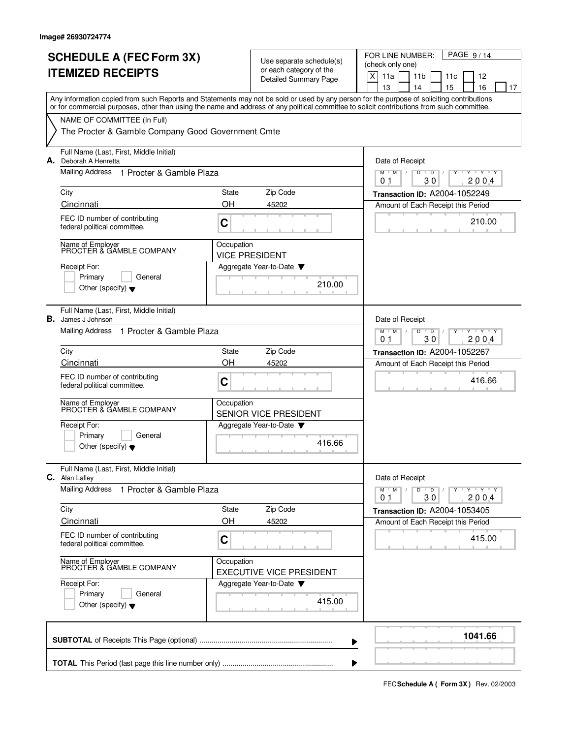|    | <b>SCHEDULE A (FEC Form 3X)</b><br><b>ITEMIZED RECEIPTS</b>                                                                                                                                                                                                                             |                                                                                  | Use separate schedule(s)<br>or each category of the<br><b>Detailed Summary Page</b> | PAGE 9/14<br>FOR LINE NUMBER:<br>(check only one)<br>X<br>11a<br>11 <sub>b</sub><br>11c<br>12<br>13<br>15<br>16<br>14<br>17 |
|----|-----------------------------------------------------------------------------------------------------------------------------------------------------------------------------------------------------------------------------------------------------------------------------------------|----------------------------------------------------------------------------------|-------------------------------------------------------------------------------------|-----------------------------------------------------------------------------------------------------------------------------|
|    | Any information copied from such Reports and Statements may not be sold or used by any person for the purpose of soliciting contributions<br>or for commercial purposes, other than using the name and address of any political committee to solicit contributions from such committee. |                                                                                  |                                                                                     |                                                                                                                             |
|    | NAME OF COMMITTEE (In Full)<br>The Procter & Gamble Company Good Government Cmte                                                                                                                                                                                                        |                                                                                  |                                                                                     |                                                                                                                             |
|    | Full Name (Last, First, Middle Initial)<br>A. Deborah A Henretta                                                                                                                                                                                                                        |                                                                                  |                                                                                     | Date of Receipt                                                                                                             |
|    | Mailing Address 1 Procter & Gamble Plaza                                                                                                                                                                                                                                                | D<br>$T$ $\gamma$ $T$ $\gamma$<br>$M$ <sup>U</sup><br>M<br>D<br>2004<br>01<br>30 |                                                                                     |                                                                                                                             |
|    | City<br>Cincinnati                                                                                                                                                                                                                                                                      | State<br>OΗ                                                                      | Zip Code<br>45202                                                                   | Transaction ID: A2004-1052249                                                                                               |
|    | FEC ID number of contributing<br>federal political committee.                                                                                                                                                                                                                           | C                                                                                |                                                                                     | Amount of Each Receipt this Period<br>210.00                                                                                |
|    | Name of Employer<br>PROCTER & GAMBLE COMPANY                                                                                                                                                                                                                                            | Occupation                                                                       | <b>VICE PRESIDENT</b>                                                               |                                                                                                                             |
|    | Receipt For:<br>Primary<br>General<br>Other (specify) $\bullet$                                                                                                                                                                                                                         |                                                                                  | Aggregate Year-to-Date<br>210.00                                                    |                                                                                                                             |
| В. | Full Name (Last, First, Middle Initial)<br>James J Johnson                                                                                                                                                                                                                              |                                                                                  |                                                                                     | Date of Receipt                                                                                                             |
|    | <b>Mailing Address</b><br>1 Procter & Gamble Plaza                                                                                                                                                                                                                                      | $Y - Y - Y$<br>M<br>M<br>D<br>D<br>30<br>200.4<br>01                             |                                                                                     |                                                                                                                             |
|    | City                                                                                                                                                                                                                                                                                    | State                                                                            | Zip Code                                                                            | <b>Transaction ID: A2004-1052267</b>                                                                                        |
|    | Cincinnati<br>FEC ID number of contributing<br>federal political committee.                                                                                                                                                                                                             | OH<br>С                                                                          | 45202                                                                               | Amount of Each Receipt this Period<br>416.66                                                                                |
|    | Name of Employer<br>PROCTER & GAMBLE COMPANY                                                                                                                                                                                                                                            | Occupation                                                                       | <b>SENIOR VICE PRESIDENT</b>                                                        |                                                                                                                             |
|    | Receipt For:<br>Primary<br>General<br>Other (specify) $\blacktriangledown$                                                                                                                                                                                                              |                                                                                  | Aggregate Year-to-Date<br>416.66                                                    |                                                                                                                             |
|    | Full Name (Last, First, Middle Initial)<br>C. Alan Lafley                                                                                                                                                                                                                               |                                                                                  |                                                                                     | Date of Receipt                                                                                                             |
|    | <b>Mailing Address</b><br>1 Procter & Gamble Plaza                                                                                                                                                                                                                                      |                                                                                  |                                                                                     | <b>TEXTEN</b><br>$M$ M<br>D<br>$\overline{D}$<br>Y<br>30<br>2004<br>0 <sub>1</sub>                                          |
|    | City<br>Cincinnati                                                                                                                                                                                                                                                                      | State<br>OH                                                                      | Zip Code<br>45202                                                                   | Transaction ID: A2004-1053405                                                                                               |
|    | FEC ID number of contributing<br>federal political committee.                                                                                                                                                                                                                           | C                                                                                |                                                                                     | Amount of Each Receipt this Period<br>415.00                                                                                |
|    | Name of Employer<br>PROCTER & GAMBLE COMPANY                                                                                                                                                                                                                                            | Occupation                                                                       | <b>EXECUTIVE VICE PRESIDENT</b>                                                     |                                                                                                                             |
|    | Receipt For:<br>Primary<br>General<br>Other (specify) $\blacktriangledown$                                                                                                                                                                                                              |                                                                                  | Aggregate Year-to-Date<br>415.00                                                    |                                                                                                                             |
|    |                                                                                                                                                                                                                                                                                         |                                                                                  |                                                                                     | 1041.66                                                                                                                     |

**FECSchedule A ( Form 3X)** Rev. 02/2003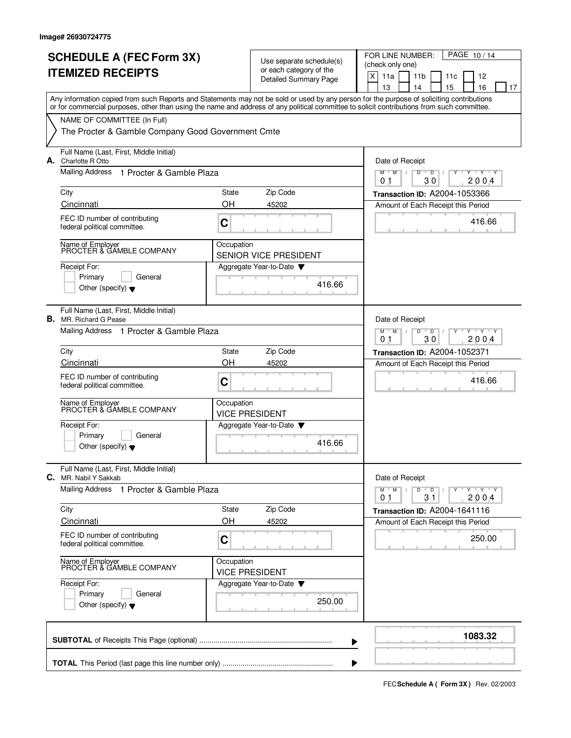|                          | <b>SCHEDULE A (FEC Form 3X)</b>                                                                                                                                                                                                                                                         |            |                                                     | FOR LINE NUMBER:<br>PAGE 10/14                                                                   |  |  |  |  |
|--------------------------|-----------------------------------------------------------------------------------------------------------------------------------------------------------------------------------------------------------------------------------------------------------------------------------------|------------|-----------------------------------------------------|--------------------------------------------------------------------------------------------------|--|--|--|--|
| <b>ITEMIZED RECEIPTS</b> |                                                                                                                                                                                                                                                                                         |            | Use separate schedule(s)<br>or each category of the | (check only one)                                                                                 |  |  |  |  |
|                          |                                                                                                                                                                                                                                                                                         |            | <b>Detailed Summary Page</b>                        | X<br>11a<br>11 <sub>b</sub><br>11c<br>12<br>13<br>14<br>15<br>16<br>17                           |  |  |  |  |
|                          | Any information copied from such Reports and Statements may not be sold or used by any person for the purpose of soliciting contributions<br>or for commercial purposes, other than using the name and address of any political committee to solicit contributions from such committee. |            |                                                     |                                                                                                  |  |  |  |  |
|                          | NAME OF COMMITTEE (In Full)                                                                                                                                                                                                                                                             |            |                                                     |                                                                                                  |  |  |  |  |
|                          | The Procter & Gamble Company Good Government Cmte                                                                                                                                                                                                                                       |            |                                                     |                                                                                                  |  |  |  |  |
|                          | Full Name (Last, First, Middle Initial)<br><b>A.</b> Charlotte R Otto                                                                                                                                                                                                                   |            |                                                     | Date of Receipt                                                                                  |  |  |  |  |
|                          | Mailing Address<br>1 Procter & Gamble Plaza                                                                                                                                                                                                                                             |            |                                                     | M<br>D<br>M<br>D<br>$Y+Y$<br>30<br>2004<br>01                                                    |  |  |  |  |
|                          | City                                                                                                                                                                                                                                                                                    | State      | Zip Code                                            | Transaction ID: A2004-1053366                                                                    |  |  |  |  |
|                          | Cincinnati                                                                                                                                                                                                                                                                              | OH         | 45202                                               | Amount of Each Receipt this Period                                                               |  |  |  |  |
|                          | FEC ID number of contributing<br>federal political committee.                                                                                                                                                                                                                           | C          |                                                     | 416.66                                                                                           |  |  |  |  |
|                          | Name of Employer<br>PROCTER & GAMBLE COMPANY                                                                                                                                                                                                                                            | Occupation | <b>SENIOR VICE PRESIDENT</b>                        |                                                                                                  |  |  |  |  |
|                          | Receipt For:                                                                                                                                                                                                                                                                            |            | Aggregate Year-to-Date                              |                                                                                                  |  |  |  |  |
|                          | Primary<br>General<br>Other (specify) $\bullet$                                                                                                                                                                                                                                         |            | 416.66                                              |                                                                                                  |  |  |  |  |
| В.                       | Full Name (Last, First, Middle Initial)<br>MR. Richard G Pease                                                                                                                                                                                                                          |            |                                                     | Date of Receipt                                                                                  |  |  |  |  |
|                          | Mailing Address 1 Procter & Gamble Plaza                                                                                                                                                                                                                                                |            |                                                     | $Y - Y - Y - Y$<br>$M$ <sup>U</sup><br>M<br>D<br>$\overline{D}$<br>0 <sub>1</sub><br>30<br>200.4 |  |  |  |  |
|                          | City                                                                                                                                                                                                                                                                                    | State      | Zip Code                                            | <b>Transaction ID: A2004-1052371</b>                                                             |  |  |  |  |
|                          | Cincinnati                                                                                                                                                                                                                                                                              | OH         | 45202                                               | Amount of Each Receipt this Period                                                               |  |  |  |  |
|                          | FEC ID number of contributing<br>federal political committee.                                                                                                                                                                                                                           | C          |                                                     | 416.66                                                                                           |  |  |  |  |
|                          | Name of Employer<br>PROCTER & GAMBLE COMPANY                                                                                                                                                                                                                                            | Occupation | <b>VICE PRESIDENT</b>                               |                                                                                                  |  |  |  |  |
|                          | Receipt For:<br>General                                                                                                                                                                                                                                                                 |            | Aggregate Year-to-Date                              |                                                                                                  |  |  |  |  |
|                          | Primary<br>Other (specify) $\blacktriangledown$                                                                                                                                                                                                                                         |            | 416.66                                              |                                                                                                  |  |  |  |  |
|                          | Full Name (Last, First, Middle Initial)<br>C. MR. Nabil Y Sakkab                                                                                                                                                                                                                        |            |                                                     | Date of Receipt                                                                                  |  |  |  |  |
|                          | <b>Mailing Address</b><br>1 Procter & Gamble Plaza                                                                                                                                                                                                                                      |            |                                                     | $Y + Y + Y$<br>$M$ M<br>D<br>$\overline{D}$<br>31<br>2004<br>01                                  |  |  |  |  |
|                          | City                                                                                                                                                                                                                                                                                    | State      | Zip Code                                            | Transaction ID: A2004-1641116                                                                    |  |  |  |  |
|                          | Cincinnati                                                                                                                                                                                                                                                                              | OH         | 45202                                               | Amount of Each Receipt this Period                                                               |  |  |  |  |
|                          | FEC ID number of contributing<br>federal political committee.                                                                                                                                                                                                                           | C          |                                                     | 250.00                                                                                           |  |  |  |  |
|                          | Name of Employer<br>PROCTER & GAMBLE COMPANY                                                                                                                                                                                                                                            | Occupation | <b>VICE PRESIDENT</b>                               |                                                                                                  |  |  |  |  |
|                          | Receipt For:                                                                                                                                                                                                                                                                            |            | Aggregate Year-to-Date                              |                                                                                                  |  |  |  |  |
|                          | Primary<br>General<br>Other (specify) $\blacktriangledown$                                                                                                                                                                                                                              |            | 250.00                                              |                                                                                                  |  |  |  |  |
|                          |                                                                                                                                                                                                                                                                                         |            |                                                     | 1083.32                                                                                          |  |  |  |  |
|                          |                                                                                                                                                                                                                                                                                         |            |                                                     |                                                                                                  |  |  |  |  |

**FECSchedule A ( Form 3X)** Rev. 02/2003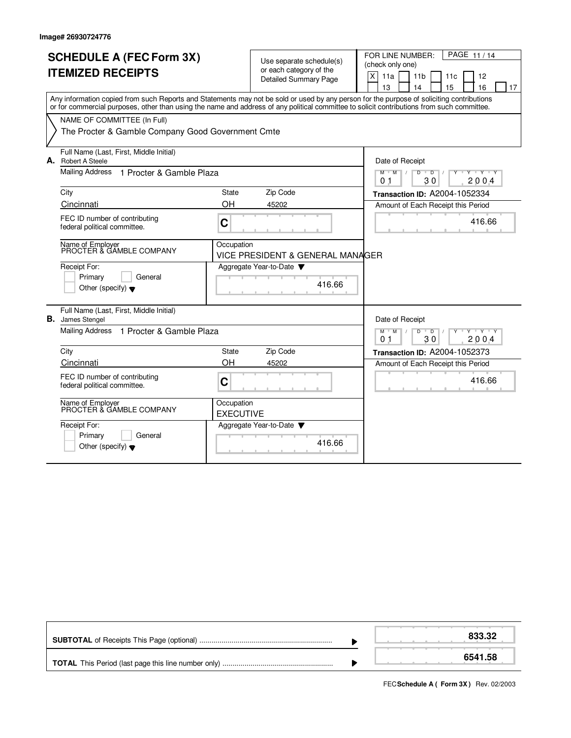|    | <b>SCHEDULE A (FEC Form 3X)</b><br><b>ITEMIZED RECEIPTS</b><br>Any information copied from such Reports and Statements may not be sold or used by any person for the purpose of soliciting contributions<br>or for commercial purposes, other than using the name and address of any political committee to solicit contributions from such committee.<br>NAME OF COMMITTEE (In Full)<br>The Procter & Gamble Company Good Government Cmte |                                | Use separate schedule(s)<br>or each category of the<br><b>Detailed Summary Page</b> | PAGE 11/14<br>FOR LINE NUMBER:<br>(check only one)<br>X<br>11a<br>11 <sub>b</sub><br>11c<br>12<br>13<br>15<br>16<br>14<br>17 |
|----|--------------------------------------------------------------------------------------------------------------------------------------------------------------------------------------------------------------------------------------------------------------------------------------------------------------------------------------------------------------------------------------------------------------------------------------------|--------------------------------|-------------------------------------------------------------------------------------|------------------------------------------------------------------------------------------------------------------------------|
|    | Full Name (Last, First, Middle Initial)<br><b>A.</b> Robert A Steele                                                                                                                                                                                                                                                                                                                                                                       |                                |                                                                                     | Date of Receipt                                                                                                              |
|    | <b>Mailing Address</b><br>1 Procter & Gamble Plaza                                                                                                                                                                                                                                                                                                                                                                                         |                                |                                                                                     | $M$ $M$<br>$D$ $D$<br><b>TY TY TY</b><br>30<br>2004<br>01                                                                    |
|    | City                                                                                                                                                                                                                                                                                                                                                                                                                                       | State                          | Zip Code                                                                            | Transaction ID: A2004-1052334                                                                                                |
|    | Cincinnati                                                                                                                                                                                                                                                                                                                                                                                                                                 | OH                             | 45202                                                                               | Amount of Each Receipt this Period                                                                                           |
|    | FEC ID number of contributing<br>federal political committee.                                                                                                                                                                                                                                                                                                                                                                              | $\mathbf C$                    |                                                                                     | 416.66                                                                                                                       |
|    | Name of Employer<br>PROCTER & GAMBLE COMPANY                                                                                                                                                                                                                                                                                                                                                                                               | Occupation                     | VICE PRESIDENT & GENERAL MANAGER                                                    |                                                                                                                              |
|    | Receipt For:<br>Primary<br>General<br>Other (specify) $\blacktriangledown$                                                                                                                                                                                                                                                                                                                                                                 |                                | Aggregate Year-to-Date<br>416.66                                                    |                                                                                                                              |
| В. | Full Name (Last, First, Middle Initial)<br>James Stengel                                                                                                                                                                                                                                                                                                                                                                                   |                                |                                                                                     | Date of Receipt                                                                                                              |
|    | Mailing Address 1 Procter & Gamble Plaza                                                                                                                                                                                                                                                                                                                                                                                                   |                                |                                                                                     | $M = M$<br>Y Y Y Y<br>$D$ $D$ $1$<br>0 <sub>1</sub><br>30<br>2004                                                            |
|    | City                                                                                                                                                                                                                                                                                                                                                                                                                                       | State                          | Zip Code                                                                            | Transaction ID: A2004-1052373                                                                                                |
|    | Cincinnati                                                                                                                                                                                                                                                                                                                                                                                                                                 | OH                             | 45202                                                                               | Amount of Each Receipt this Period                                                                                           |
|    | FEC ID number of contributing<br>federal political committee.                                                                                                                                                                                                                                                                                                                                                                              | C                              |                                                                                     | 416.66                                                                                                                       |
|    | Name of Employer<br>PROCTER & GAMBLE COMPANY                                                                                                                                                                                                                                                                                                                                                                                               | Occupation<br><b>EXECUTIVE</b> |                                                                                     |                                                                                                                              |
|    | Receipt For:<br>Primary<br>General<br>Other (specify) $\blacktriangledown$                                                                                                                                                                                                                                                                                                                                                                 |                                | Aggregate Year-to-Date<br>416.66                                                    |                                                                                                                              |

|  | 833.32  |
|--|---------|
|  | 6541.58 |

**FECSchedule A ( Form 3X)** Rev. 02/2003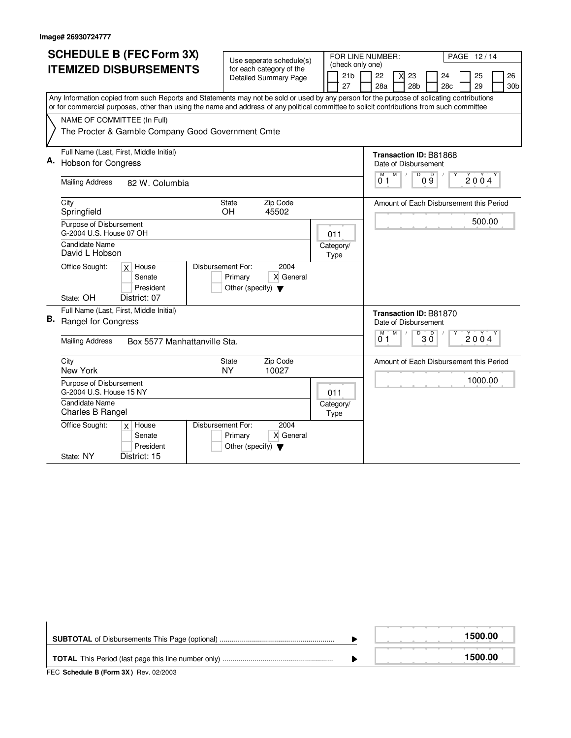| <b>SCHEDULE B (FEC Form 3X)</b> |                                                                                                                                                                                                                                                                                        |                                                                                           |                       | FOR LINE NUMBER:<br>PAGE 12/14                                                           |  |  |  |  |  |  |
|---------------------------------|----------------------------------------------------------------------------------------------------------------------------------------------------------------------------------------------------------------------------------------------------------------------------------------|-------------------------------------------------------------------------------------------|-----------------------|------------------------------------------------------------------------------------------|--|--|--|--|--|--|
|                                 | <b>ITEMIZED DISBURSEMENTS</b>                                                                                                                                                                                                                                                          | Use seperate schedule(s)<br>for each category of the                                      | (check only one)      |                                                                                          |  |  |  |  |  |  |
|                                 |                                                                                                                                                                                                                                                                                        | <b>Detailed Summary Page</b>                                                              | 21 <sub>b</sub><br>27 | 22<br>23<br>25<br>26<br>24<br>28a<br>28 <sub>b</sub><br>28c<br>29<br>30 <sub>b</sub>     |  |  |  |  |  |  |
|                                 | Any Information copied from such Reports and Statements may not be sold or used by any person for the purpose of solicating contributions<br>or for commercial purposes, other than using the name and address of any political committee to solicit contributions from such committee |                                                                                           |                       |                                                                                          |  |  |  |  |  |  |
|                                 | NAME OF COMMITTEE (In Full)<br>The Procter & Gamble Company Good Government Cmte                                                                                                                                                                                                       |                                                                                           |                       |                                                                                          |  |  |  |  |  |  |
| Α.                              | Full Name (Last, First, Middle Initial)<br><b>Hobson for Congress</b><br><b>Mailing Address</b><br>82 W. Columbia                                                                                                                                                                      |                                                                                           |                       | <b>Transaction ID: B81868</b><br>Date of Disbursement<br>M<br>D<br>M<br>09<br>2004<br>01 |  |  |  |  |  |  |
|                                 | City<br>Springfield                                                                                                                                                                                                                                                                    | Zip Code<br>State<br><b>OH</b><br>45502                                                   |                       | Amount of Each Disbursement this Period                                                  |  |  |  |  |  |  |
|                                 | Purpose of Disbursement<br>G-2004 U.S. House 07 OH                                                                                                                                                                                                                                     |                                                                                           | 011                   | 500.00                                                                                   |  |  |  |  |  |  |
|                                 | <b>Candidate Name</b><br>David L Hobson                                                                                                                                                                                                                                                |                                                                                           | Category/<br>Type     |                                                                                          |  |  |  |  |  |  |
|                                 | $\overline{X}$ House<br>Office Sought:<br>Senate<br>President<br>State: OH<br>District: 07                                                                                                                                                                                             | Disbursement For:<br>2004<br>X General<br>Primary<br>Other (specify) $\blacktriangledown$ |                       |                                                                                          |  |  |  |  |  |  |
| В.                              | Full Name (Last, First, Middle Initial)<br>Rangel for Congress                                                                                                                                                                                                                         |                                                                                           |                       | <b>Transaction ID: B81870</b><br>Date of Disbursement<br>D<br>M<br>D<br>M                |  |  |  |  |  |  |
|                                 | <b>Mailing Address</b><br>Box 5577 Manhattanville Sta.                                                                                                                                                                                                                                 | 2004<br>3 Ō<br>01                                                                         |                       |                                                                                          |  |  |  |  |  |  |
|                                 | City<br>New York                                                                                                                                                                                                                                                                       | Zip Code<br>State<br>10027<br><b>NY</b>                                                   |                       | Amount of Each Disbursement this Period                                                  |  |  |  |  |  |  |
|                                 | Purpose of Disbursement<br>G-2004 U.S. House 15 NY                                                                                                                                                                                                                                     |                                                                                           | 011                   | 1000.00                                                                                  |  |  |  |  |  |  |
|                                 | <b>Candidate Name</b><br>Charles B Rangel                                                                                                                                                                                                                                              |                                                                                           | Category/<br>Type     |                                                                                          |  |  |  |  |  |  |
|                                 | Office Sought:<br>$x$ House<br>Senate<br>President                                                                                                                                                                                                                                     | Disbursement For:<br>2004<br>X General<br>Primary<br>Other (specify) $\blacktriangledown$ |                       |                                                                                          |  |  |  |  |  |  |
|                                 | District: 15<br>State: NY                                                                                                                                                                                                                                                              |                                                                                           |                       |                                                                                          |  |  |  |  |  |  |

|                                       |  | 1500.00 |  |  |  |  |
|---------------------------------------|--|---------|--|--|--|--|
|                                       |  | 1500.00 |  |  |  |  |
| FEC Schedule B (Form 3X) Rev. 02/2003 |  |         |  |  |  |  |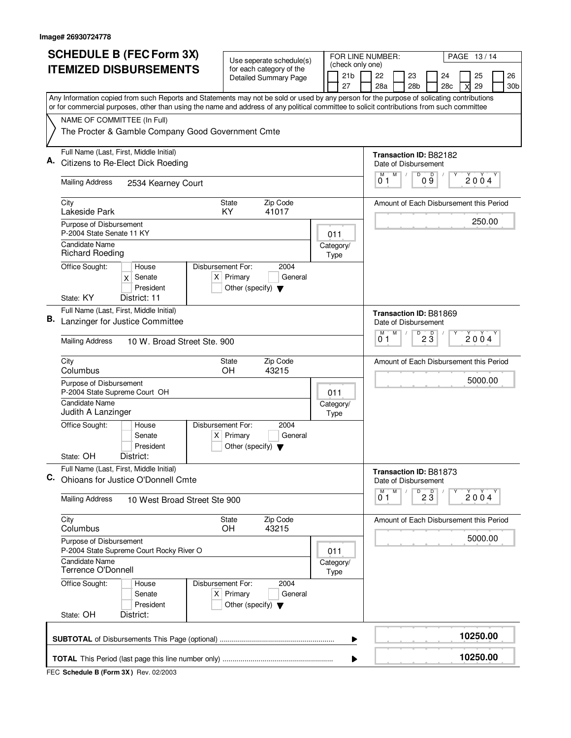|                                                                                                                                           | <b>SCHEDULE B (FEC Form 3X)</b>                                                                                                                                          | Use seperate schedule(s)                                               |  |                   | FOR LINE NUMBER:                                                                                      |                                         |                                 |                                         | PAGE 13/14 |          |                 |  |
|-------------------------------------------------------------------------------------------------------------------------------------------|--------------------------------------------------------------------------------------------------------------------------------------------------------------------------|------------------------------------------------------------------------|--|-------------------|-------------------------------------------------------------------------------------------------------|-----------------------------------------|---------------------------------|-----------------------------------------|------------|----------|-----------------|--|
|                                                                                                                                           | <b>ITEMIZED DISBURSEMENTS</b>                                                                                                                                            | for each category of the                                               |  | 21 <sub>b</sub>   | (check only one)                                                                                      | 22                                      | 23                              | 24                                      |            | 25       | 26              |  |
|                                                                                                                                           |                                                                                                                                                                          | <b>Detailed Summary Page</b>                                           |  | 27                |                                                                                                       | 28a                                     | 28 <sub>b</sub>                 | 28c                                     |            | 29       | 30 <sub>b</sub> |  |
| Any Information copied from such Reports and Statements may not be sold or used by any person for the purpose of solicating contributions |                                                                                                                                                                          |                                                                        |  |                   |                                                                                                       |                                         |                                 |                                         |            |          |                 |  |
|                                                                                                                                           | or for commercial purposes, other than using the name and address of any political committee to solicit contributions from such committee<br>NAME OF COMMITTEE (In Full) |                                                                        |  |                   |                                                                                                       |                                         |                                 |                                         |            |          |                 |  |
|                                                                                                                                           | The Procter & Gamble Company Good Government Cmte                                                                                                                        |                                                                        |  |                   |                                                                                                       |                                         |                                 |                                         |            |          |                 |  |
| А.                                                                                                                                        | Full Name (Last, First, Middle Initial)                                                                                                                                  |                                                                        |  |                   |                                                                                                       |                                         |                                 | Transaction ID: B82182                  |            |          |                 |  |
|                                                                                                                                           | Citizens to Re-Elect Dick Roeding                                                                                                                                        |                                                                        |  |                   | Date of Disbursement<br>D<br>$\mathsf D$<br>M<br>M<br>$\sqrt{2}$<br>2004<br>09<br>01                  |                                         |                                 |                                         |            |          |                 |  |
|                                                                                                                                           | <b>Mailing Address</b><br>2534 Kearney Court                                                                                                                             |                                                                        |  |                   |                                                                                                       |                                         |                                 |                                         |            |          |                 |  |
|                                                                                                                                           | City<br>Lakeside Park                                                                                                                                                    | Zip Code<br><b>State</b><br>41017<br>KY.                               |  |                   |                                                                                                       | Amount of Each Disbursement this Period |                                 |                                         |            |          |                 |  |
|                                                                                                                                           | Purpose of Disbursement<br>P-2004 State Senate 11 KY                                                                                                                     |                                                                        |  | 011               |                                                                                                       |                                         |                                 |                                         |            | 250.00   |                 |  |
|                                                                                                                                           | Candidate Name<br><b>Richard Roeding</b>                                                                                                                                 |                                                                        |  | Category/<br>Type |                                                                                                       |                                         |                                 |                                         |            |          |                 |  |
|                                                                                                                                           | Office Sought:<br>Disbursement For:<br>House<br>$x$ Senate<br>President                                                                                                  | 2004<br>$X$ Primary<br>General<br>Other (specify) $\blacktriangledown$ |  |                   |                                                                                                       |                                         |                                 |                                         |            |          |                 |  |
|                                                                                                                                           | State: KY<br>District: 11                                                                                                                                                |                                                                        |  |                   |                                                                                                       |                                         |                                 |                                         |            |          |                 |  |
| В.                                                                                                                                        | Full Name (Last, First, Middle Initial)<br>Lanzinger for Justice Committee                                                                                               |                                                                        |  |                   | <b>Transaction ID: B81869</b><br>Date of Disbursement<br>M<br>D<br>м<br>$2\overline{3}$<br>2004<br>01 |                                         |                                 |                                         |            |          |                 |  |
|                                                                                                                                           | <b>Mailing Address</b><br>10 W. Broad Street Ste, 900                                                                                                                    |                                                                        |  |                   |                                                                                                       |                                         |                                 |                                         |            |          |                 |  |
|                                                                                                                                           | City<br>Columbus                                                                                                                                                         | Zip Code<br>State<br>OH<br>43215                                       |  |                   |                                                                                                       |                                         |                                 | Amount of Each Disbursement this Period |            |          |                 |  |
|                                                                                                                                           | Purpose of Disbursement<br>P-2004 State Supreme Court OH                                                                                                                 |                                                                        |  | 011               |                                                                                                       |                                         |                                 |                                         |            | 5000.00  |                 |  |
|                                                                                                                                           | Candidate Name<br>Judith A Lanzinger                                                                                                                                     |                                                                        |  | Category/<br>Type |                                                                                                       |                                         |                                 |                                         |            |          |                 |  |
|                                                                                                                                           | Disbursement For:<br>Office Sought:<br>House<br>Senate<br>President                                                                                                      | 2004<br>$X$ Primary<br>General<br>Other (specify) $\blacktriangledown$ |  |                   |                                                                                                       |                                         |                                 |                                         |            |          |                 |  |
|                                                                                                                                           | State: OH<br>District:                                                                                                                                                   |                                                                        |  |                   |                                                                                                       |                                         |                                 |                                         |            |          |                 |  |
| C.                                                                                                                                        | Full Name (Last, First, Middle Initial)<br>Ohioans for Justice O'Donnell Cmte                                                                                            |                                                                        |  |                   |                                                                                                       | Date of Disbursement                    | Transaction ID: B81873          |                                         |            |          |                 |  |
|                                                                                                                                           | <b>Mailing Address</b><br>10 West Broad Street Ste 900                                                                                                                   |                                                                        |  |                   | M<br>М<br>01                                                                                          |                                         | $\overline{P}$ 2 $\overline{3}$ |                                         | 2004       |          |                 |  |
|                                                                                                                                           | City<br>Columbus                                                                                                                                                         | Zip Code<br>State<br>OH<br>43215                                       |  |                   |                                                                                                       |                                         |                                 | Amount of Each Disbursement this Period |            |          |                 |  |
|                                                                                                                                           | Purpose of Disbursement<br>P-2004 State Supreme Court Rocky River O                                                                                                      |                                                                        |  | 011               |                                                                                                       |                                         |                                 |                                         |            | 5000.00  |                 |  |
|                                                                                                                                           | <b>Candidate Name</b><br>Terrence O'Donnell                                                                                                                              |                                                                        |  | Category/<br>Type |                                                                                                       |                                         |                                 |                                         |            |          |                 |  |
|                                                                                                                                           | Office Sought:<br>Disbursement For:<br>House<br>Senate<br>President<br>State: OH<br>District:                                                                            | 2004<br>$X$ Primary<br>General<br>Other (specify) $\blacktriangledown$ |  |                   |                                                                                                       |                                         |                                 |                                         |            |          |                 |  |
|                                                                                                                                           |                                                                                                                                                                          |                                                                        |  |                   |                                                                                                       |                                         |                                 |                                         |            |          |                 |  |
|                                                                                                                                           |                                                                                                                                                                          |                                                                        |  |                   | ▶                                                                                                     |                                         |                                 |                                         |            | 10250.00 |                 |  |
|                                                                                                                                           |                                                                                                                                                                          |                                                                        |  |                   |                                                                                                       |                                         |                                 |                                         |            | 10250.00 |                 |  |

**FEC Schedule B (Form 3X)** Rev. 02/2003